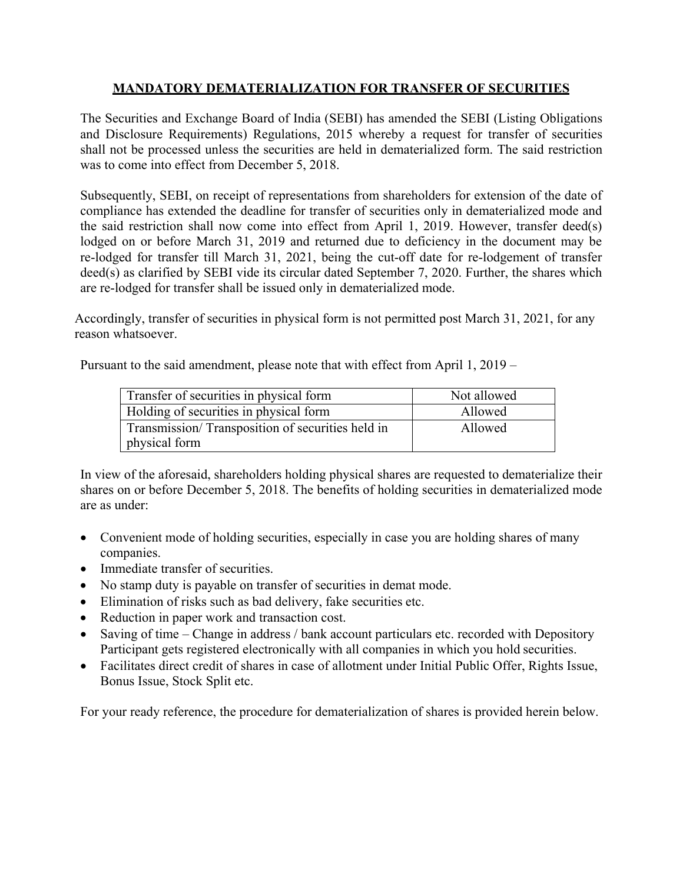## **MANDATORY DEMATERIALIZATION FOR TRANSFER OF SECURITIES**

The Securities and Exchange Board of India (SEBI) has amended the SEBI (Listing Obligations and Disclosure Requirements) Regulations, 2015 whereby a request for transfer of securities shall not be processed unless the securities are held in dematerialized form. The said restriction was to come into effect from December 5, 2018.

Subsequently, SEBI, on receipt of representations from shareholders for extension of the date of compliance has extended the deadline for transfer of securities only in dematerialized mode and the said restriction shall now come into effect from April 1, 2019. However, transfer deed(s) lodged on or before March 31, 2019 and returned due to deficiency in the document may be re-lodged for transfer till March 31, 2021, being the cut-off date for re-lodgement of transfer deed(s) as clarified by SEBI vide its circular dated September 7, 2020. Further, the shares which are re-lodged for transfer shall be issued only in dematerialized mode.

Accordingly, transfer of securities in physical form is not permitted post March 31, 2021, for any reason whatsoever.

Pursuant to the said amendment, please note that with effect from April 1, 2019 –

| Transfer of securities in physical form          | Not allowed |
|--------------------------------------------------|-------------|
| Holding of securities in physical form           | Allowed     |
| Transmission/Transposition of securities held in | Allowed     |
| physical form                                    |             |

In view of the aforesaid, shareholders holding physical shares are requested to dematerialize their shares on or before December 5, 2018. The benefits of holding securities in dematerialized mode are as under:

- Convenient mode of holding securities, especially in case you are holding shares of many companies.
- Immediate transfer of securities.
- No stamp duty is payable on transfer of securities in demat mode.
- Elimination of risks such as bad delivery, fake securities etc.
- Reduction in paper work and transaction cost.
- Saving of time Change in address / bank account particulars etc. recorded with Depository Participant gets registered electronically with all companies in which you hold securities.
- Facilitates direct credit of shares in case of allotment under Initial Public Offer, Rights Issue, Bonus Issue, Stock Split etc.

For your ready reference, the procedure for dematerialization of shares is provided herein below.